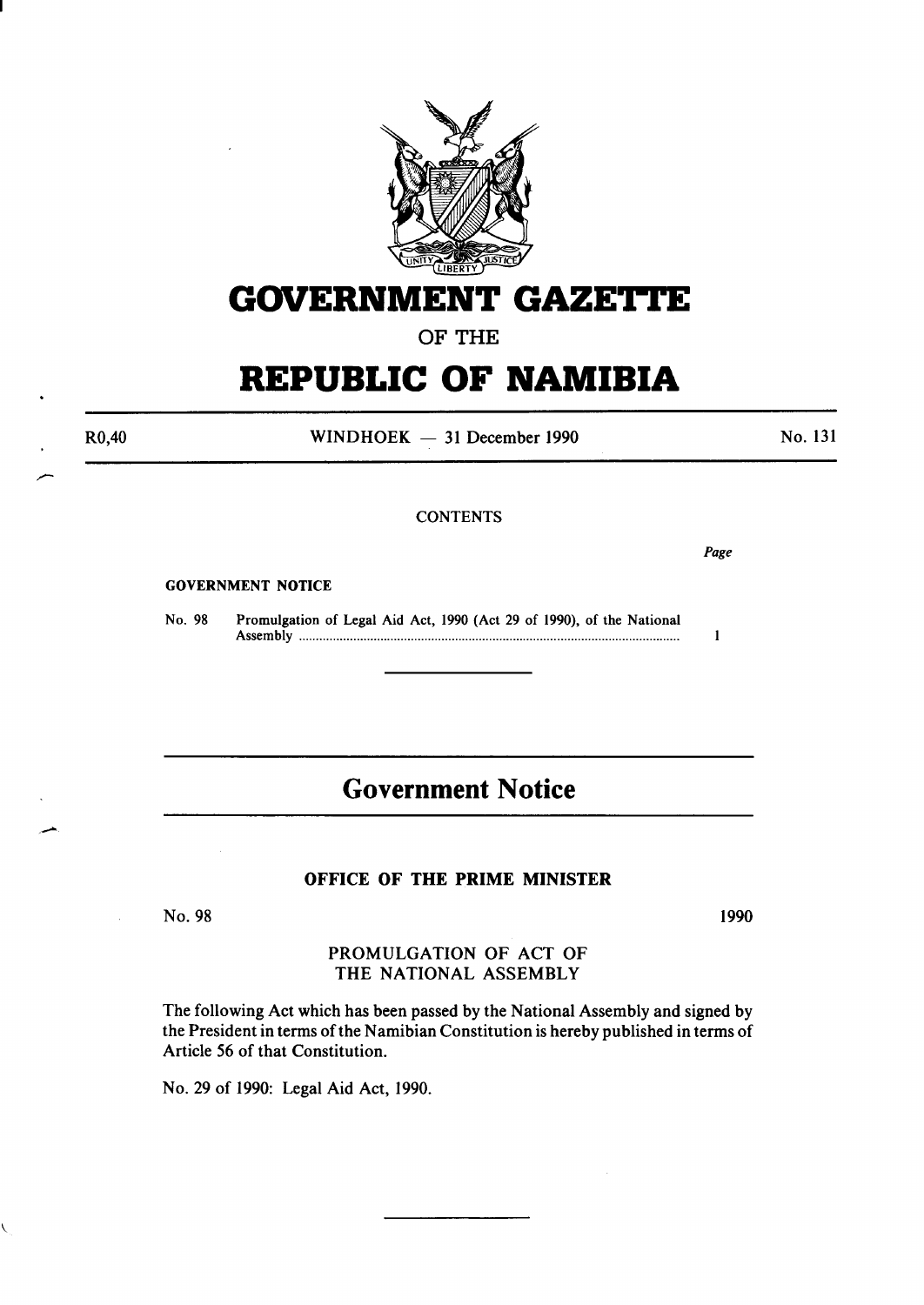

# **GOVERNMENT GAZETTE**

OF THE

## **REPUBLIC OF NAMIBIA**

R0,40

 $WINDHOEK - 31 December 1990$ 

No. 131

### **CONTENTS**

*Page* 

### GOVERNMENT NOTICE

No. 98 Promulgation of Legal Aid Act, 1990 (Act 29 of 1990), of the National Assembly ............................................................................................................... .  $\mathbf{1}$ 

## **Government Notice**

### OFFICE OF THE PRIME MINISTER

No. 98

1990

### PROMULGATION OF ACT OF THE NATIONAL ASSEMBLY

The following Act which has been passed by the National Assembly and signed by the President in terms of the Namibian Constitution is hereby published in terms of Article *56* of that Constitution.

No. 29 of 1990: Legal Aid Act, 1990.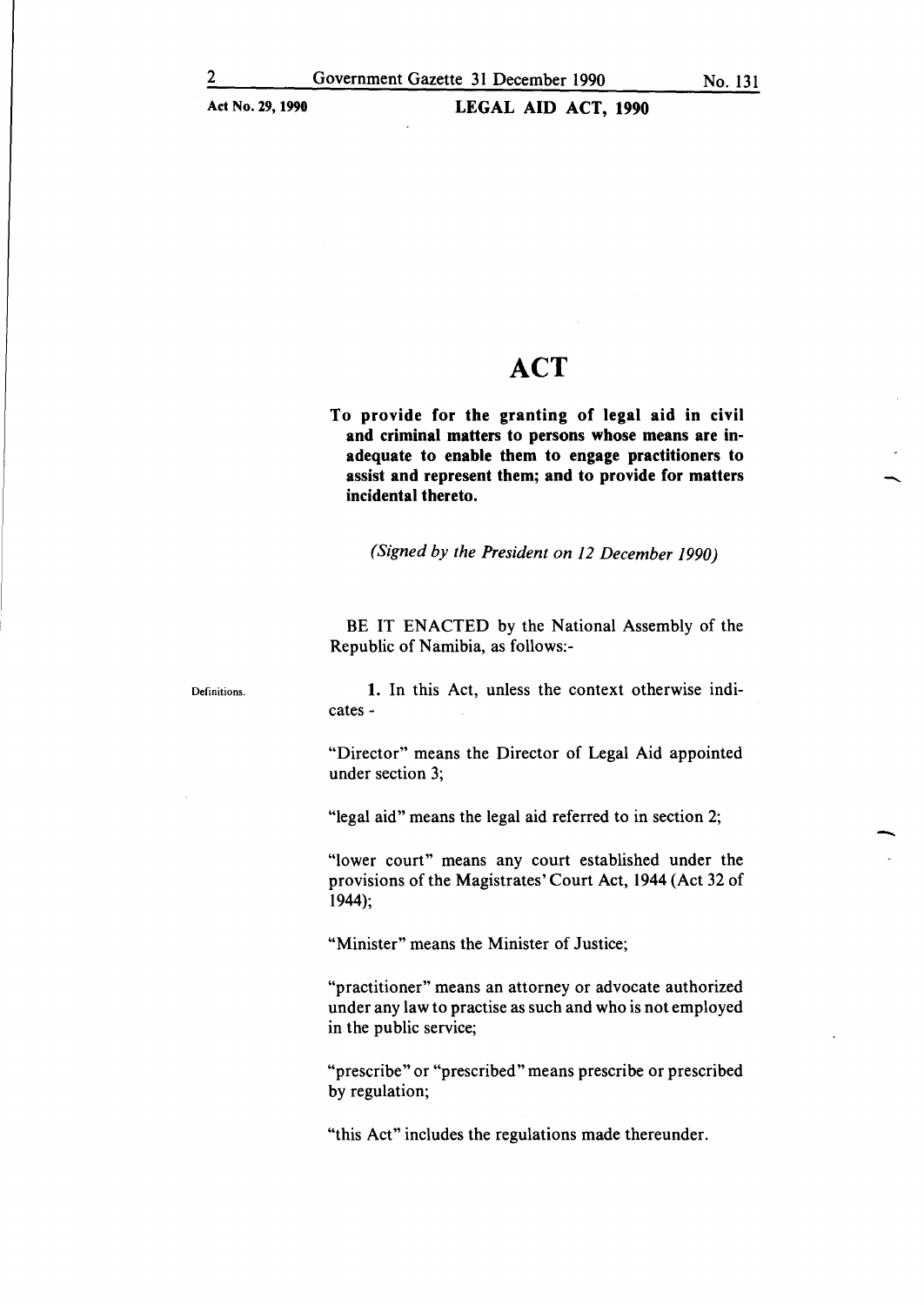## **ACT**

**To provide for the granting of legal aid in civil and criminal matters to persons whose means are inadequate to enable them to engage practitioners to**  assist **and represent them; and to provide for matters incidental thereto.** 

*(Signed by the President on 12 December 1990)* 

BE IT ENACTED by the National Assembly of the Republic of Namibia, as follows:-

Definitions.

**1.** In this Act, unless the context otherwise indicates-

"Director" means the Director of Legal Aid appointed under section 3;

"legal aid" means the legal aid referred to in section 2;

"lower court" means any court established under the provisions of the Magistrates' Court Act, 1944 (Act 32 of 1944);

"Minister" means the Minister of Justice;

"practitioner" means an attorney or advocate authorized under any law to practise as such and who is not employed in the public service;

"prescribe" or "prescribed" means prescribe or prescribed by regulation;

"this Act" includes the regulations made thereunder.

-<br>-<br>-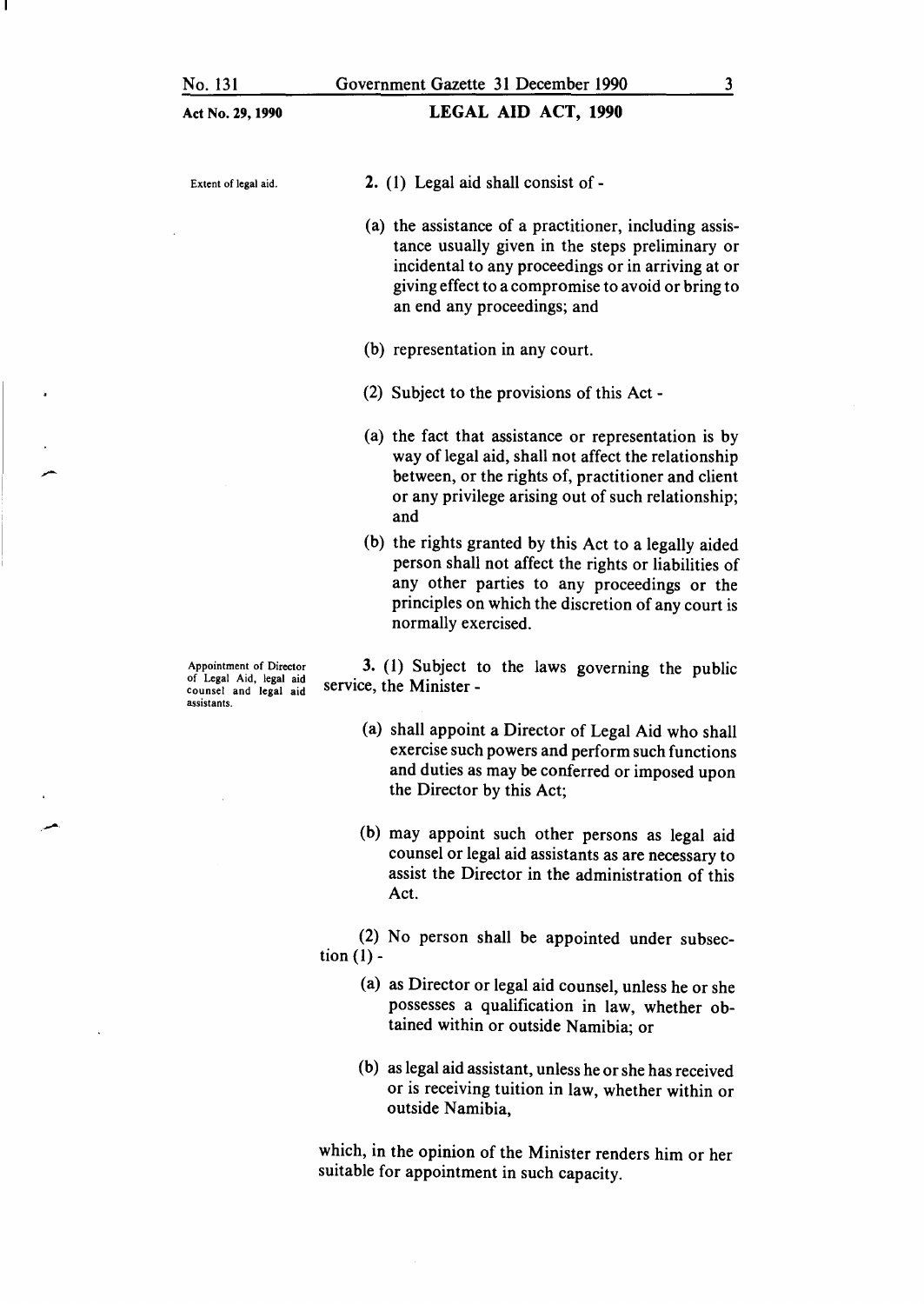### LEGAL AID ACT, 1990

Extent of legal aid.

- 2. ( 1) Legal aid shall consist of -
- (a) the assistance of a practitioner, including assistance usually given in the steps preliminary or incidental to any proceedings or in arriving at or giving effect to a compromise to avoid or bring to an end any proceedings; and
- (b) representation in any court.
- (2) Subject to the provisions of this Act -
- (a) the fact that assistance or representation is by way of legal aid, shall not affect the relationship between, or the rights of, practitioner and client or any privilege arising out of such relationship; and
- (b) the rights granted by this Act to a legally aided person shall not affect the rights or liabilities of any other parties to any proceedings or the principles on which the discretion of any court is normally exercised.

3. (1) Subject to the laws governing the public service, the Minister -

- (a) shall appoint a Director of Legal Aid who shall exercise such powers and perform such functions and duties as may be conferred or imposed upon the Director by this Act;
- (b) may appoint such other persons as legal aid counsel or legal aid assistants as are necessary to assist the Director in the administration of this Act.

(2) No person shall be appointed under subsection  $(1)$  -

- (a) as Director or legal aid counsel, unless he or she possesses a qualification in law, whether obtained within or outside Namibia; or
- (b) as legal aid assistant, unless he or she has received or is receiving tuition in law, whether within or outside Namibia,

which, in the opinion of the Minister renders him or her suitable for appointment in such capacity.

Appointment of Director of Legal Aid, legal aid counsel and legal aid assistants.

.-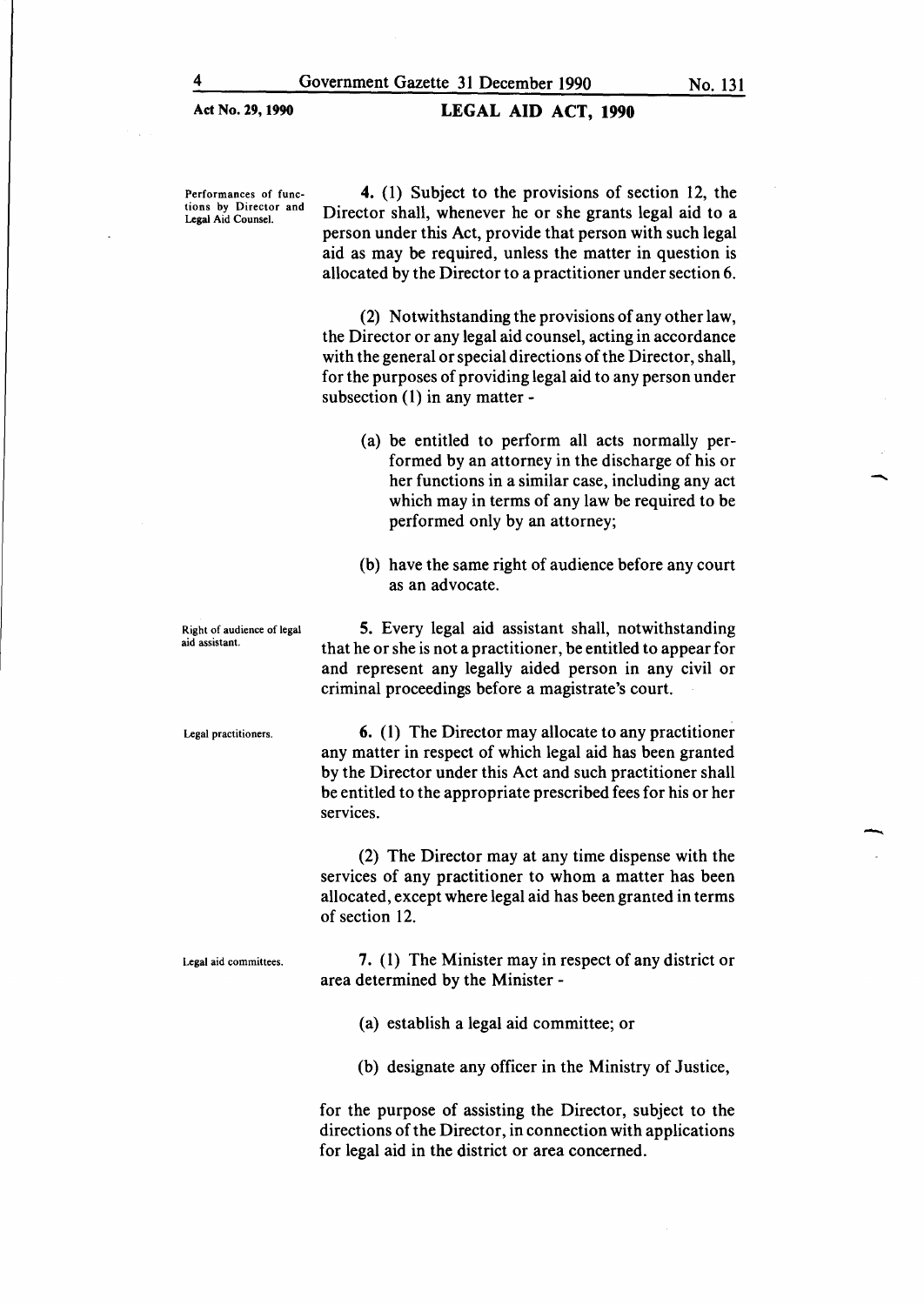LEGAL AID ACT, 1990

Performances of functions by Director and Legal Aid Counsel.

4. (1) Subject to the provisions of section 12, the Director shall, whenever he or she grants legal aid to a person under this Act, provide that person with such legal aid as may be required, unless the matter in question is allocated by the Director to a practitioner under section 6.

(2) Notwithstanding the provisions of any other law, the Director or any legal aid counsel, acting in accordance with the general or special directions of the Director, shall, for the purposes of providing legal aid to any person under subsection (1) in any matter-

- (a) be entitled to perform all acts normally performed by an attorney in the discharge of his or her functions in a similar case, including any act which may in terms of any law be required to be performed only by an attorney;
- (b) have the same right of audience before any court as an advocate.

Right of audience of legal aid assistant.

Legal practitioners.

5. Every legal aid assistant shall, notwithstanding that he or she is not a practitioner, be entitled to appear for and represent any legally aided person in any civil or criminal proceedings before a magistrate's court.

6. ( 1) The Director may allocate to any practitioner any matter in respect of which legal aid has been granted by the Director under this Act and such practitioner shall be entitled to the appropriate prescribed fees for his or her services.

(2) The Director may at any time dispense with the services of any practitioner to whom a matter has been allocated, except where legal aid has been granted in terms of section 12.

Legal aid committees. 7. (1) The Minister may in respect of any district or area determined by the Minister -

- (a) establish a legal aid committee; or
- (b) designate any officer in the Ministry of Justice,

for the purpose of assisting the Director, subject to the directions of the Director, in connection with applications for legal aid in the district or area concerned.

-

-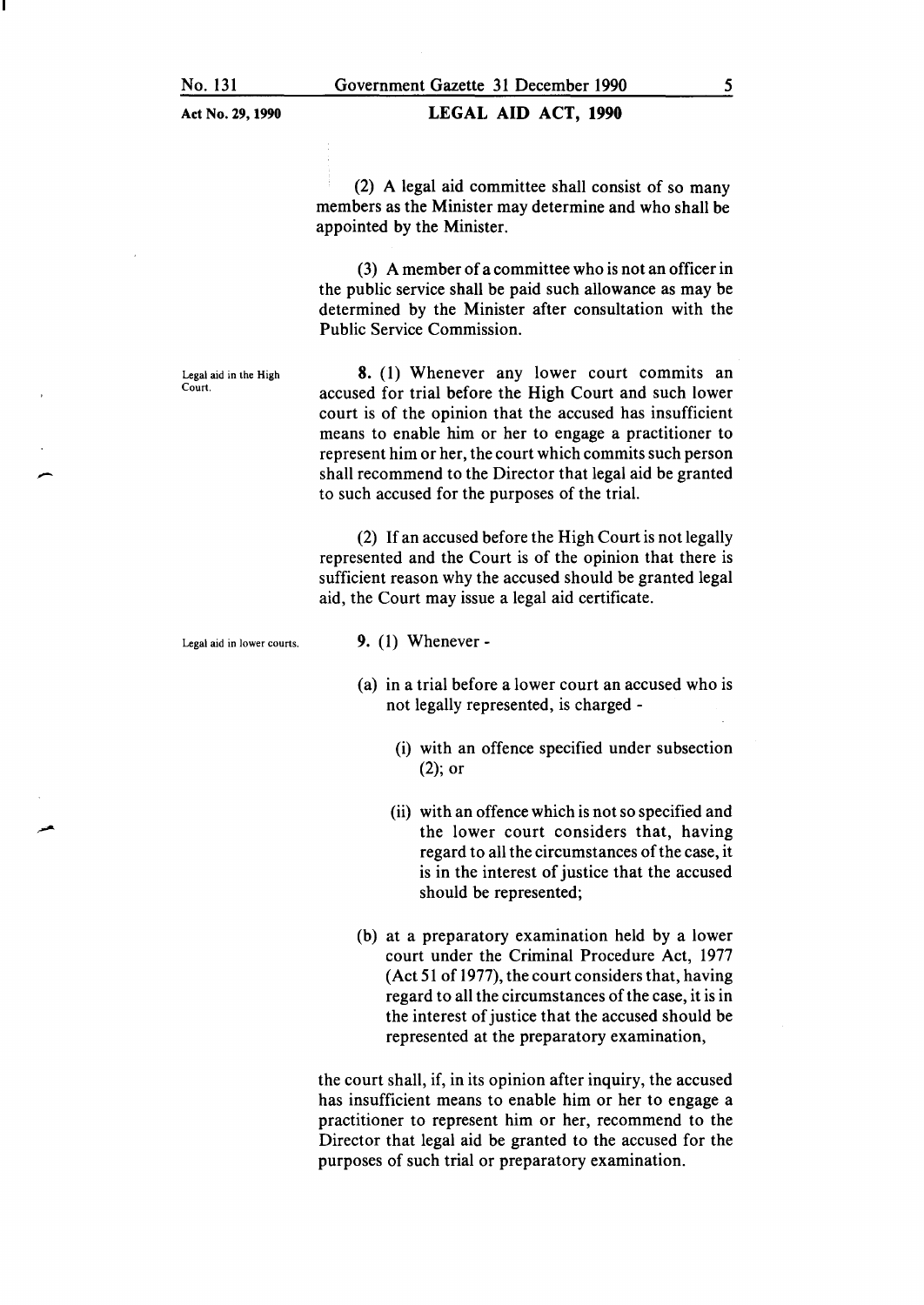### LEGAL AID ACT, **1990**

(2) A legal aid committee shall consist of so many members as the Minister may determine and who shall be appointed by the Minister.

(3) A member of a committee who is not an officer in the public service shall be paid such allowance as may be determined by the Minister after consultation with the Public Service Commission.

Legal aid in the High Court.

.<br>-<br>-

8. (1) Whenever any lower court commits an accused for trial before the High Court and such lower court is of the opinion that the accused has insufficient means to enable him or her to engage a practitioner to represent him or her, the court which commits such person shall recommend to the Director that legal aid be granted to such accused for the purposes of the trial.

(2) If an accused before the High Court is not legally represented and the Court is of the opinion that there is sufficient reason why the accused should be granted legal aid, the Court may issue a legal aid certificate.

Legal aid in lower courts.

9. (1) Whenever-

- (a) in a trial before a lower court an accused who is not legally represented, is charged -
	- (i) with an offence specified under subsection (2); or
	- (ii) with an offence which is not so specified and the lower court considers that, having regard to all the circumstances of the case, it is in the interest of justice that the accused should be represented;
- (b) at a preparatory examination held by a lower court under the Criminal Procedure Act, 1977 (Act 51 of 1977), the court considers that, having regard to all the circumstances of the case, it is in the interest of justice that the accused should be represented at the preparatory examination,

the court shall, if, in its opinion after inquiry, the accused has insufficient means to enable him or her to engage a practitioner to represent him or her, recommend to the Director that legal aid be granted to the accused for the purposes of such trial or preparatory examination.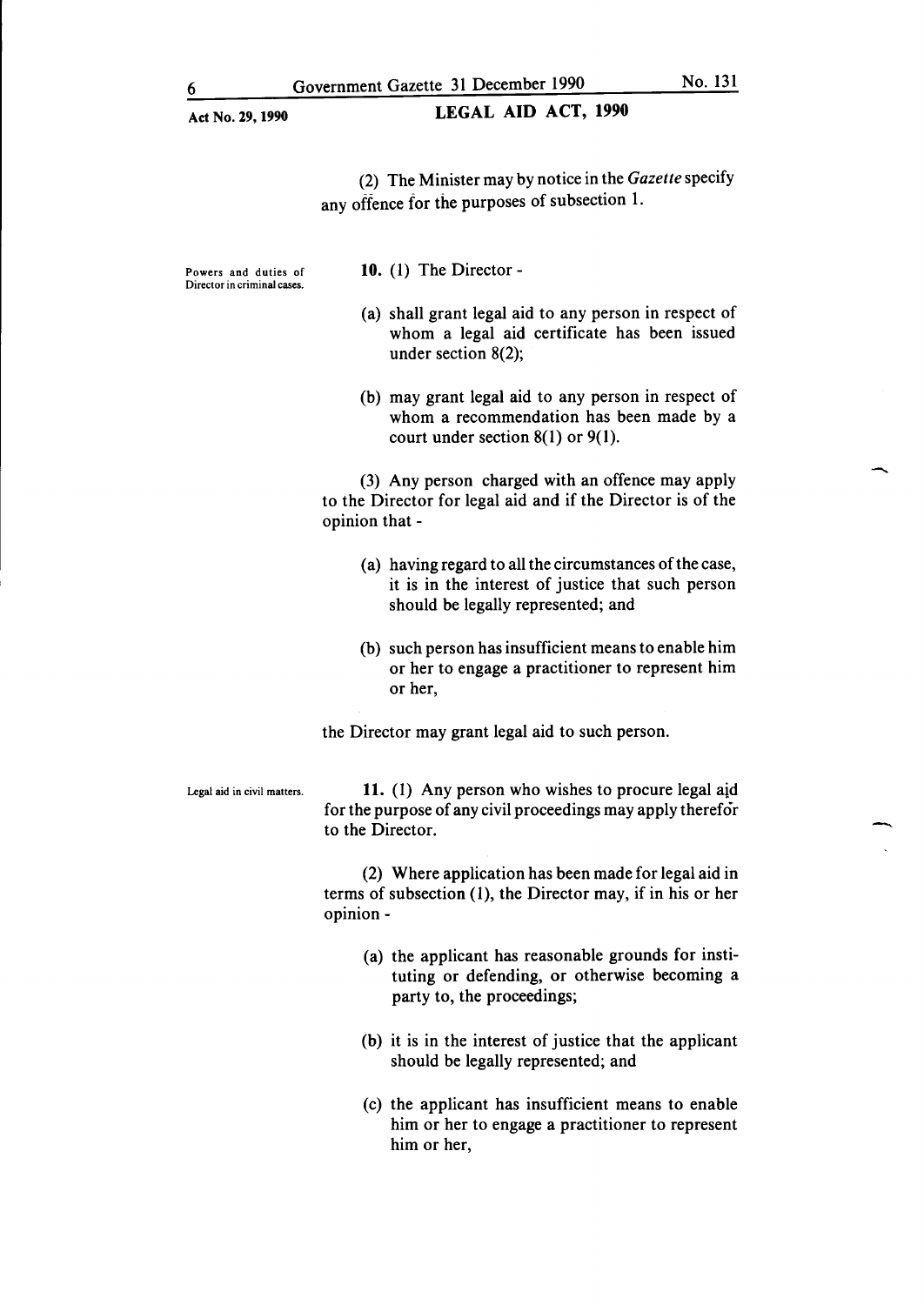-

 $\overline{\phantom{a}}$ 

| Act No. 29, 1990                                    | <b>LEGAL AID ACT, 1990</b>                                                                                                                         |
|-----------------------------------------------------|----------------------------------------------------------------------------------------------------------------------------------------------------|
|                                                     | (2) The Minister may by notice in the Gazette specify<br>any offence for the purposes of subsection 1.                                             |
| Powers and duties of<br>Director in criminal cases. | 10. $(1)$ The Director -                                                                                                                           |
|                                                     | (a) shall grant legal aid to any person in respect of<br>whom a legal aid certificate has been issued<br>under section $8(2)$ ;                    |
|                                                     | (b) may grant legal aid to any person in respect of<br>whom a recommendation has been made by a<br>court under section $8(1)$ or $9(1)$ .          |
|                                                     | (3) Any person charged with an offence may apply<br>to the Director for legal aid and if the Director is of the<br>opinion that -                  |
|                                                     | (a) having regard to all the circumstances of the case,<br>it is in the interest of justice that such person<br>should be legally represented; and |
|                                                     | (b) such person has insufficient means to enable him<br>or her to engage a practitioner to represent him<br>or her,                                |
|                                                     | the Director may grant legal aid to such person.                                                                                                   |
| Legal aid in civil matters.                         | 11. (1) Any person who wishes to procure legal aid<br>for the purpose of any civil proceedings may apply therefor<br>to the Director.              |
|                                                     | (2) Where application has been made for legal aid in<br>terms of subsection (1), the Director may, if in his or her<br>opinion -                   |
|                                                     | (a) the applicant has reasonable grounds for insti-<br>tuting or defending, or otherwise becoming a<br>party to, the proceedings;                  |
|                                                     | (b) it is in the interest of justice that the applicant<br>should be legally represented; and                                                      |
|                                                     | (c) the annicant has insufficient means to enable                                                                                                  |

(c) the applicant has insufficient means to enable him or her to engage a practitioner to represent him or her,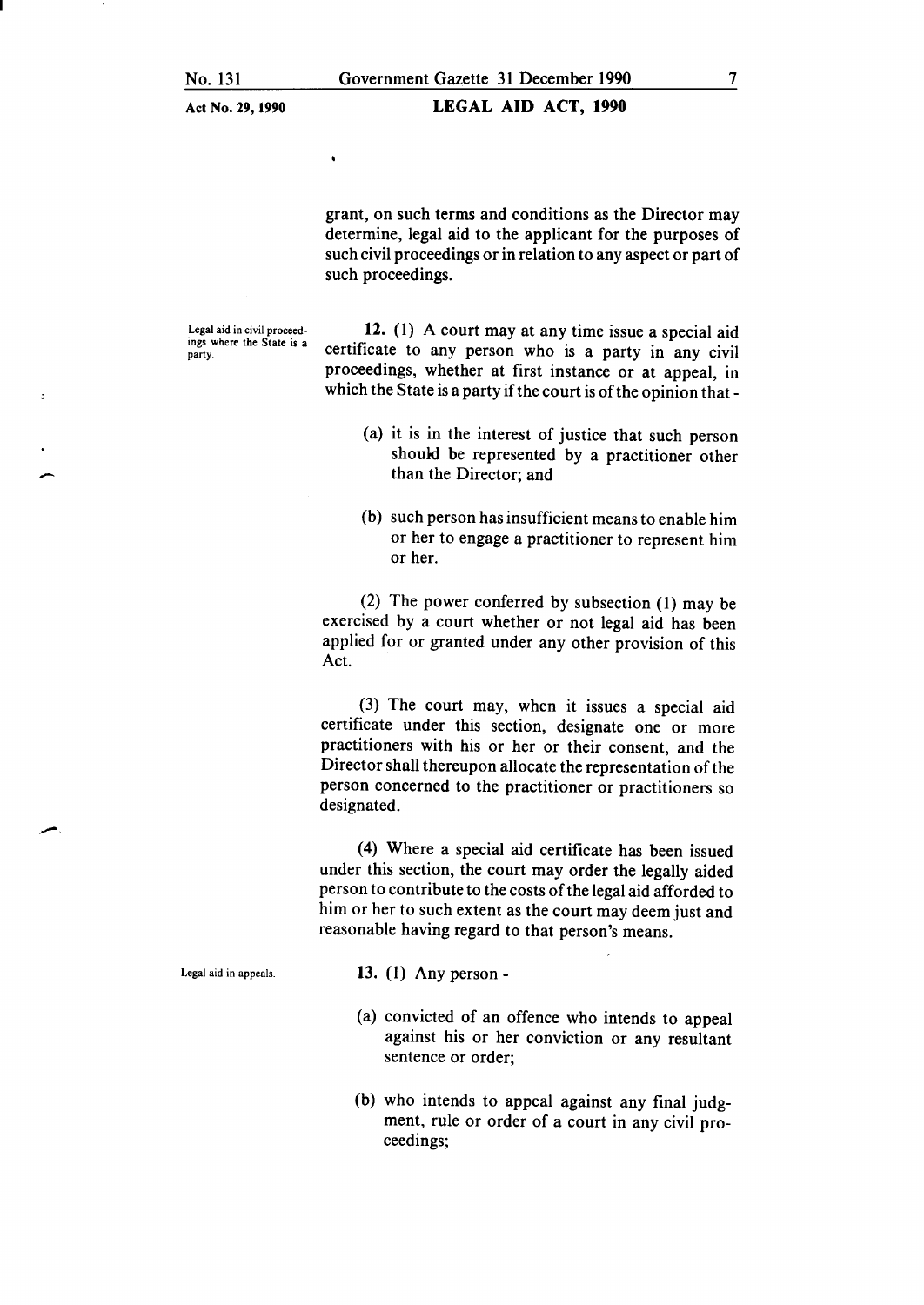$\bullet$ 

### LEGAL AID ACT, 1990

grant, on such terms and conditions as the Director may determine, legal aid to the applicant for the purposes of such civil proceedings or in relation to any aspect or part of such proceedings.

Legal aid in civil proceedings where the State is a party.

.<br>(

 $\ddot{\mathbf{z}}$ 

12. (1) A court may at any time issue a special aid certificate to any person who is a party in any civil proceedings, whether at first instance or at appeal, in which the State is a party if the court is of the opinion that-

- (a) it is in the interest of justice that such person should be represented by a practitioner other than the Director; and
- (b) such person has insufficient means to enable him or her to engage a practitioner to represent him or her.

(2) The power conferred by subsection (1) may be exercised by a court whether or not legal aid has been applied for or granted under any other provision of this Act.

(3) The court may, when it issues a special aid certificate under this section, designate one or more practitioners with his or her or their consent, and the Director shall thereupon allocate the representation of the person concerned to the practitioner or practitioners so designated.

(4) Where a special aid certificate has been issued under this section, the court may order the legally aided person to contribute to the costs of the legal aid afforded to him or her to such extent as the court may deem just and reasonable having regard to that person's means.

Legal aid in appeals.

- 13. (1) Any person-
- (a) convicted of an offence who intends to appeal against his or her conviction or any resultant sentence or order;
- (b) who intends to appeal against any final judgment, rule or order of a court in any civil proceedings;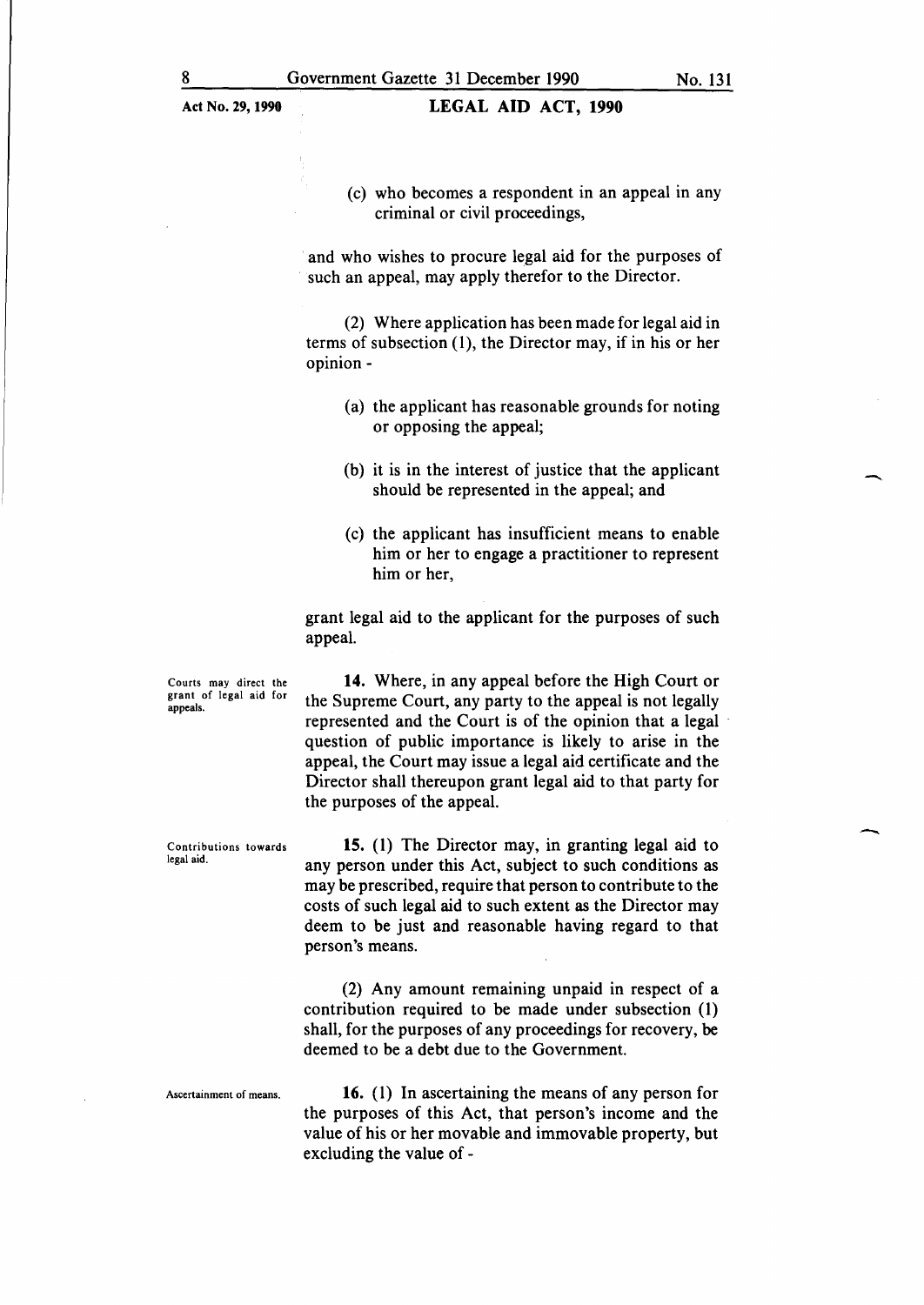(c) who becomes a respondent in an appeal in any criminal or civil proceedings,

and who wishes to procure legal aid for the purposes of such an appeal, may apply therefor to the Director.

(2) Where application has been made for legal aid in terms of subsection (1), the Director may, if in his or her opinion-

- (a) the applicant has reasonable grounds for noting or opposing the appeal;
- (b) it is in the interest of justice that the applicant should be represented in the appeal; and
- (c) the applicant has insufficient means to enable him or her to engage a practitioner to represent him or her,

grant legal aid to the applicant for the purposes of such appeal.

Courts may direct the grant of legal aid for appeals.

**14.** Where, in any appeal before the High Court or the Supreme Court, any party to the appeal is not legally represented and the Court is of the opinion that a legal question of public importance is likely to arise in the appeal, the Court may issue a legal aid certificate and the Director shall thereupon grant legal aid to that party for the purposes of the appeal.

Contributions towards legal aid.

**15. (1)** The Director may, in granting legal aid to any person under this Act, subject to such conditions as may be prescribed, require that person to contribute to the costs of such legal aid to such extent as the Director may deem to be just and reasonable having regard to that person's means.

(2) Any amount remaining unpaid in respect of a contribution required to be made under subsection (1) shall, for the purposes of any proceedings for recovery, be deemed to be a debt due to the Government.

Ascertainment of means. **16.** (1) In ascertaining the means of any person for the purposes of this Act, that person's income and the value of his or her movable and immovable property, but excluding the value of-

-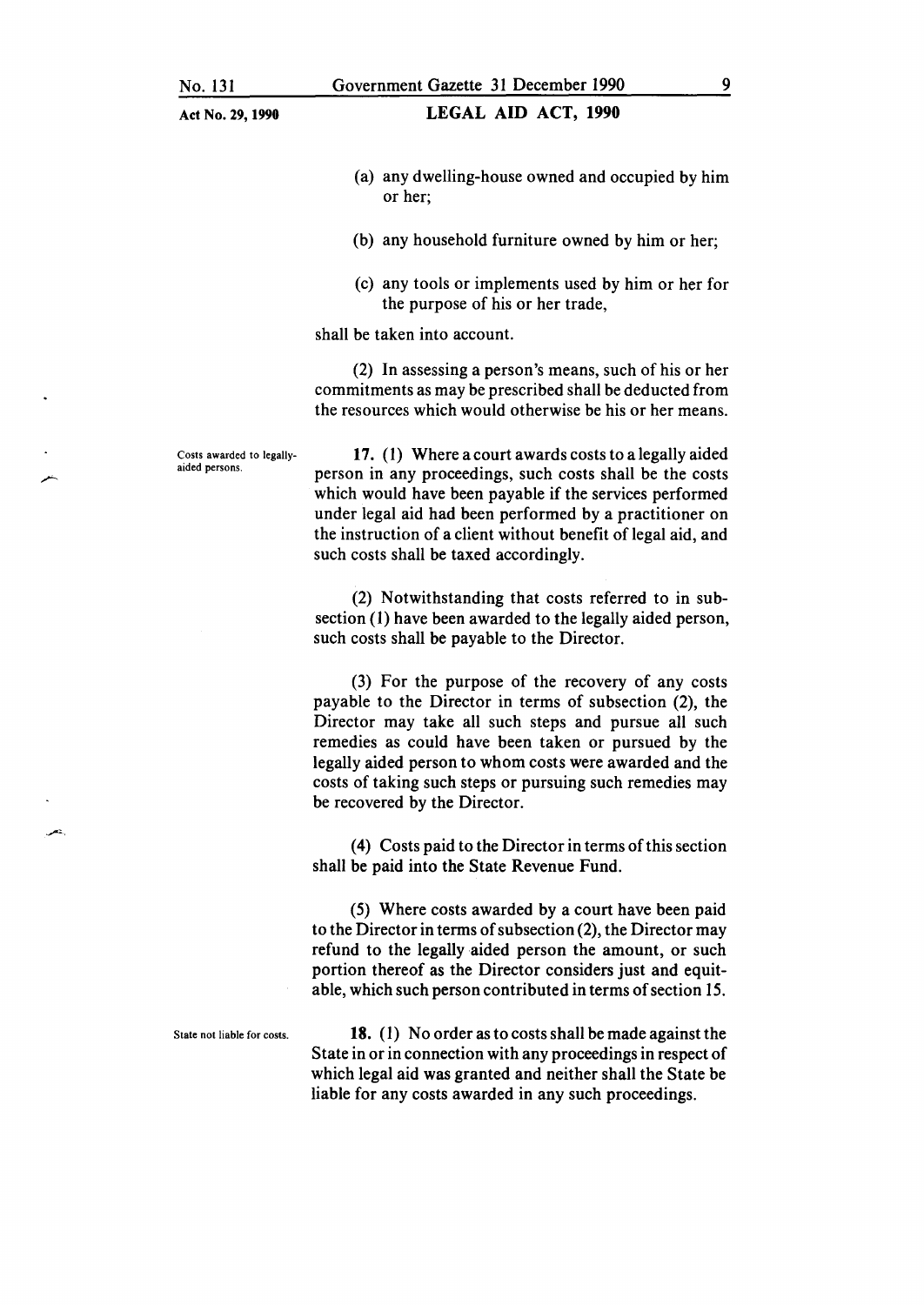#### LEGAL AID ACT, 1990

- (a) any dwelling-house owned and occupied by him or her;
- (b) any household furniture owned by him or her;
- (c) any tools or implements used by him or her for the purpose of his or her trade,

shall be taken into account.

(2) In assessing a person's means, such of his or her commitments as may be prescribed shall be deducted from the resources which would otherwise be his or her means.

Costs awarded to legallyaided persons.

17. ( 1) Where a court awards costs to a legally aided person in any proceedings, such costs shall be the costs which would have been payable if the services performed under legal aid had been performed by a practitioner on the instruction of a client without benefit of legal aid, and such costs shall be taxed accordingly.

(2) Notwithstanding that costs referred to in subsection (1) have been awarded to the legally aided person, such costs shall be payable to the Director.

(3) For the purpose of the recovery of any costs payable to the Director in terms of subsection (2), the Director may take all such steps and pursue all such remedies as could have been taken or pursued by the legally aided person to whom costs were awarded and the costs of taking such steps or pursuing such remedies may be recovered by the Director.

( 4) Costs paid to the Director in terms of this section shall be paid into the State Revenue Fund.

(5) Where costs awarded by a court have been paid to the Director in terms of subsection (2), the Director may refund to the legally aided person the amount, or such portion thereof as the Director considers just and equitable, which such person contributed in terms of section 15.

State not liable for costs. 18. (1) No order as to costs shall be made against the State in or in connection with any proceedings in respect of which legal aid was granted and neither shall the State be liable for any costs awarded in any such proceedings.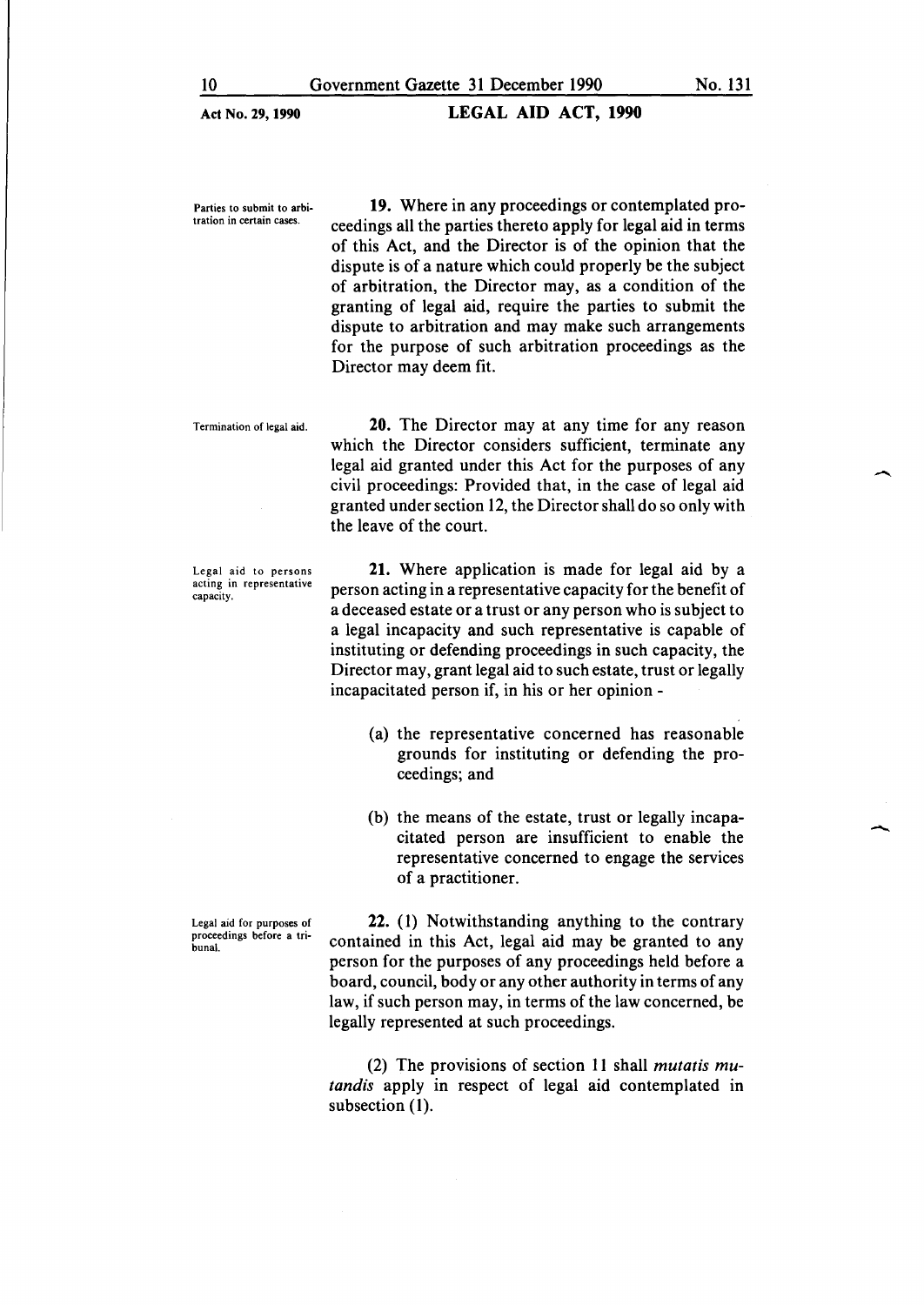**LEGAL AID ACT, 1990** 

Parties to submit to arbitration in certain cases.

**19.** Where in any proceedings or contemplated proceedings all the parties thereto apply for legal aid in terms of this Act, and the Director is of the opinion that the dispute is of a nature which could properly be the subject of arbitration, the Director may, as a condition of the granting of legal aid, require the parties to submit the dispute to arbitration and may make such arrangements for the purpose of such arbitration proceedings as the Director may deem fit.

Termination of legal aid.

Legal aid to persons acting in representative capacity.

Legal aid for purposes of proceedings before a tribunal.

legal aid granted under this Act for the purposes of any civil proceedings: Provided that, in the case of legal aid granted under section 12, the Director shall do so only with the leave of the court. **21.** Where application is made for legal aid by a

**20.** The Director may at any time for any reason which the Director considers sufficient, terminate any

person acting in a representative capacity for the benefit of a deceased estate or a trust or any person who is subject to a legal incapacity and such representative is capable of instituting or defending proceedings in such capacity, the Director may, grant legal aid to such estate, trust or legally incapacitated person if, in his or her opinion -

- (a) the representative concerned has reasonable grounds for instituting or defending the proceedings; and
- (b) the means of the estate, trust or legally incapacitated person are insufficient to enable the representative concerned to engage the services of a practitioner.

22. (1) Notwithstanding anything to the contrary contained in this Act, legal aid may be granted to any person for the purposes of any proceedings held before a board, council, body or any other authority in terms of any law, if such person may, in terms of the law concerned, be legally represented at such proceedings.

(2) The provisions of section 11 shall *mutatis mutandis* apply in respect of legal aid contemplated in subsection **(1).**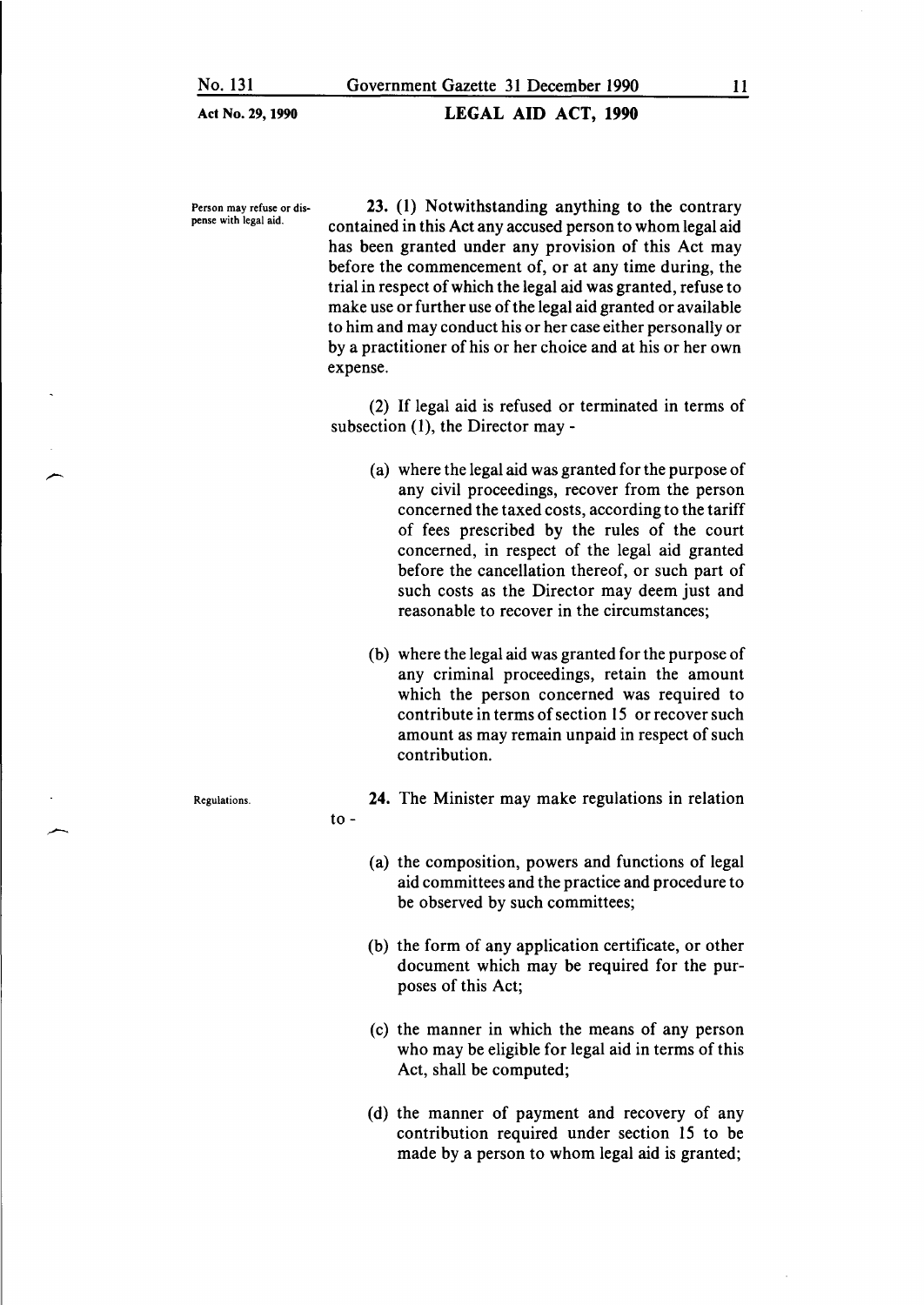### LEGAL AID ACT, 1990

Person may refuse or dispense with legal aid.

23. (1) Notwithstanding anything to the contrary contained in this Act any accused person to whom legal aid has been granted under any provision of this Act may before the commencement of, or at any time during, the trial in respect of which the legal aid was granted, refuse to make use or further use of the legal aid granted or available to him and may conduct his or her case either personally or by a practitioner of his or her choice and at his or her own expense.

(2) If legal aid is refused or terminated in terms of subsection  $(1)$ , the Director may -

- (a) where the legal aid was granted for the purpose of any civil proceedings, recover from the person concerned the taxed costs, according to the tariff of fees prescribed by the rules of the court concerned, in respect of the legal aid granted before the cancellation thereof, or such part of such costs as the Director may deem just and reasonable to recover in the circumstances;
- (b) where the legal aid was granted for the purpose of any criminal proceedings, retain the amount which the person concerned was required to contribute in terms of section 15 or recover such amount as may remain unpaid in respect of such contribution.

to- 24. The Minister may make regulations in relation

- (a) the composition, powers and functions of legal aid committees and the practice and procedure to be observed by such committees;
- (b) the form of any application certificate, or other document which may be required for the purposes of this Act;
- (c) the manner in which the means of any person who may be eligible for legal aid in terms of this Act, shall be computed;
- (d) the manner of payment and recovery of any contribution required under section 15 to be made by a person to whom legal aid is granted;

Regulations.

-